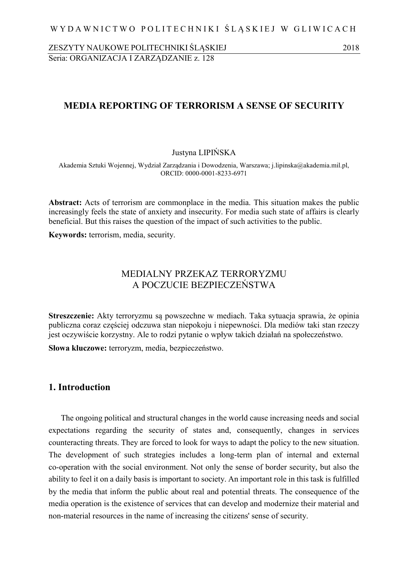ZESZYTY NAUKOWE POLITECHNIKI ŚLĄSKIEJ 2018 Seria: ORGANIZACJA I ZARZĄDZANIE z. 128

# **MEDIA REPORTING OF TERRORISM A SENSE OF SECURITY**

Justyna LIPIŃSKA

Akademia Sztuki Wojennej, Wydział Zarządzania i Dowodzenia, Warszawa; j.lipinska@akademia.mil.pl, ORCID: 0000-0001-8233-6971

**Abstract:** Acts of terrorism are commonplace in the media. This situation makes the public increasingly feels the state of anxiety and insecurity. For media such state of affairs is clearly beneficial. But this raises the question of the impact of such activities to the public.

**Keywords:** terrorism, media, security.

# MEDIALNY PRZEKAZ TERRORYZMU A POCZUCIE BEZPIECZEŃSTWA

**Streszczenie:** Akty terroryzmu są powszechne w mediach. Taka sytuacja sprawia, że opinia publiczna coraz częściej odczuwa stan niepokoju i niepewności. Dla mediów taki stan rzeczy jest oczywiście korzystny. Ale to rodzi pytanie o wpływ takich działań na społeczeństwo.

**Słowa kluczowe:** terroryzm, media, bezpieczeństwo.

# **1. Introduction**

The ongoing political and structural changes in the world cause increasing needs and social expectations regarding the security of states and, consequently, changes in services counteracting threats. They are forced to look for ways to adapt the policy to the new situation. The development of such strategies includes a long-term plan of internal and external co-operation with the social environment. Not only the sense of border security, but also the ability to feel it on a daily basis is important to society. An important role in this task is fulfilled by the media that inform the public about real and potential threats. The consequence of the media operation is the existence of services that can develop and modernize their material and non-material resources in the name of increasing the citizens' sense of security.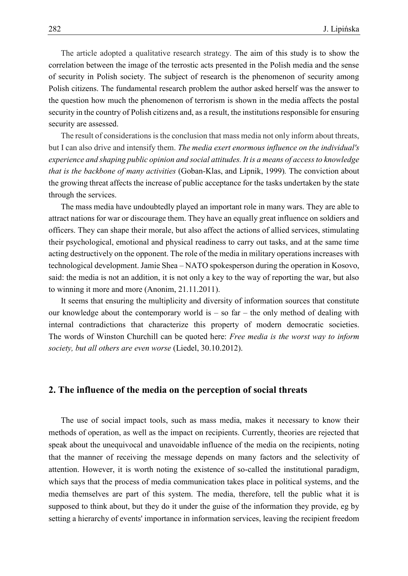The article adopted a qualitative research strategy. The aim of this study is to show the correlation between the image of the terrostic acts presented in the Polish media and the sense of security in Polish society. The subject of research is the phenomenon of security among Polish citizens. The fundamental research problem the author asked herself was the answer to the question how much the phenomenon of terrorism is shown in the media affects the postal security in the country of Polish citizens and, as a result, the institutions responsible for ensuring security are assessed.

The result of considerations is the conclusion that mass media not only inform about threats, but I can also drive and intensify them. *The media exert enormous influence on the individual's experience and shaping public opinion and social attitudes. It is a means of access to knowledge that is the backbone of many activities* (Goban-Klas, and Lipnik, 1999)*.* The conviction about the growing threat affects the increase of public acceptance for the tasks undertaken by the state through the services.

The mass media have undoubtedly played an important role in many wars. They are able to attract nations for war or discourage them. They have an equally great influence on soldiers and officers. They can shape their morale, but also affect the actions of allied services, stimulating their psychological, emotional and physical readiness to carry out tasks, and at the same time acting destructively on the opponent. The role of the media in military operations increases with technological development. Jamie Shea – NATO spokesperson during the operation in Kosovo, said: the media is not an addition, it is not only a key to the way of reporting the war, but also to winning it more and more (Anonim, 21.11.2011).

It seems that ensuring the multiplicity and diversity of information sources that constitute our knowledge about the contemporary world is  $-$  so far  $-$  the only method of dealing with internal contradictions that characterize this property of modern democratic societies. The words of Winston Churchill can be quoted here: *Free media is the worst way to inform society, but all others are even worse* (Liedel, 30.10.2012).

## **2. The influence of the media on the perception of social threats**

The use of social impact tools, such as mass media, makes it necessary to know their methods of operation, as well as the impact on recipients. Currently, theories are rejected that speak about the unequivocal and unavoidable influence of the media on the recipients, noting that the manner of receiving the message depends on many factors and the selectivity of attention. However, it is worth noting the existence of so-called the institutional paradigm, which says that the process of media communication takes place in political systems, and the media themselves are part of this system. The media, therefore, tell the public what it is supposed to think about, but they do it under the guise of the information they provide, eg by setting a hierarchy of events' importance in information services, leaving the recipient freedom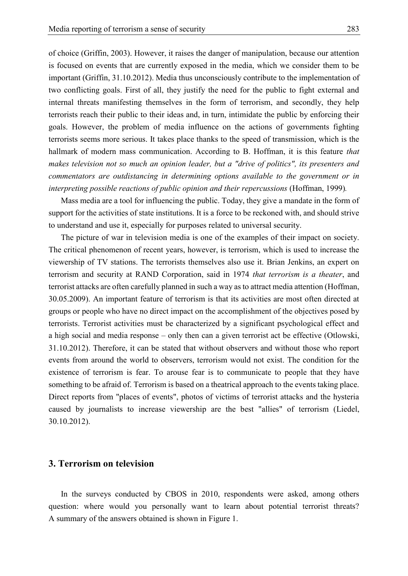of choice (Griffin, 2003). However, it raises the danger of manipulation, because our attention is focused on events that are currently exposed in the media, which we consider them to be important (Griffin, 31.10.2012). Media thus unconsciously contribute to the implementation of two conflicting goals. First of all, they justify the need for the public to fight external and internal threats manifesting themselves in the form of terrorism, and secondly, they help terrorists reach their public to their ideas and, in turn, intimidate the public by enforcing their goals. However, the problem of media influence on the actions of governments fighting terrorists seems more serious. It takes place thanks to the speed of transmission, which is the hallmark of modern mass communication. According to B. Hoffman, it is this feature *that makes television not so much an opinion leader, but a "drive of politics", its presenters and commentators are outdistancing in determining options available to the government or in interpreting possible reactions of public opinion and their repercussions* (Hoffman, 1999)*.*

Mass media are a tool for influencing the public. Today, they give a mandate in the form of support for the activities of state institutions. It is a force to be reckoned with, and should strive to understand and use it, especially for purposes related to universal security.

The picture of war in television media is one of the examples of their impact on society. The critical phenomenon of recent years, however, is terrorism, which is used to increase the viewership of TV stations. The terrorists themselves also use it. Brian Jenkins, an expert on terrorism and security at RAND Corporation, said in 1974 *that terrorism is a theater*, and terrorist attacks are often carefully planned in such a way as to attract media attention (Hoffman, 30.05.2009). An important feature of terrorism is that its activities are most often directed at groups or people who have no direct impact on the accomplishment of the objectives posed by terrorists. Terrorist activities must be characterized by a significant psychological effect and a high social and media response – only then can a given terrorist act be effective (Otlowski, 31.10.2012). Therefore, it can be stated that without observers and without those who report events from around the world to observers, terrorism would not exist. The condition for the existence of terrorism is fear. To arouse fear is to communicate to people that they have something to be afraid of. Terrorism is based on a theatrical approach to the events taking place. Direct reports from "places of events", photos of victims of terrorist attacks and the hysteria caused by journalists to increase viewership are the best "allies" of terrorism (Liedel, 30.10.2012).

### **3. Terrorism on television**

In the surveys conducted by CBOS in 2010, respondents were asked, among others question: where would you personally want to learn about potential terrorist threats? A summary of the answers obtained is shown in Figure 1.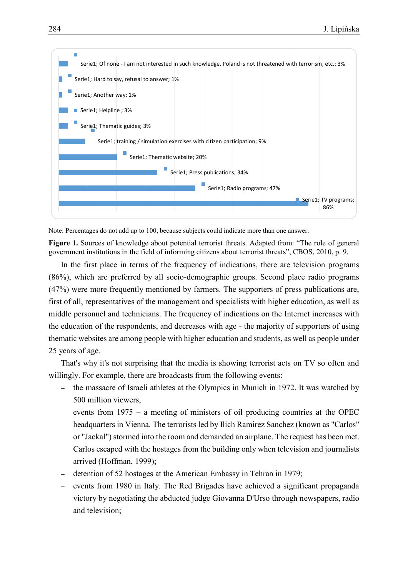

Note: Percentages do not add up to 100, because subjects could indicate more than one answer.

**Figure 1.** Sources of knowledge about potential terrorist threats. Adapted from: "The role of general government institutions in the field of informing citizens about terrorist threats", CBOS, 2010, p. 9.

In the first place in terms of the frequency of indications, there are television programs (86%), which are preferred by all socio-demographic groups. Second place radio programs (47%) were more frequently mentioned by farmers. The supporters of press publications are, first of all, representatives of the management and specialists with higher education, as well as middle personnel and technicians. The frequency of indications on the Internet increases with the education of the respondents, and decreases with age - the majority of supporters of using thematic websites are among people with higher education and students, as well as people under 25 years of age.

That's why it's not surprising that the media is showing terrorist acts on TV so often and willingly. For example, there are broadcasts from the following events:

- the massacre of Israeli athletes at the Olympics in Munich in 1972. It was watched by 500 million viewers,
- events from 1975 a meeting of ministers of oil producing countries at the OPEC headquarters in Vienna. The terrorists led by Ilich Ramirez Sanchez (known as "Carlos" or "Jackal") stormed into the room and demanded an airplane. The request has been met. Carlos escaped with the hostages from the building only when television and journalists arrived (Hoffman, 1999);
- detention of 52 hostages at the American Embassy in Tehran in 1979;
- events from 1980 in Italy. The Red Brigades have achieved a significant propaganda victory by negotiating the abducted judge Giovanna D'Urso through newspapers, radio and television;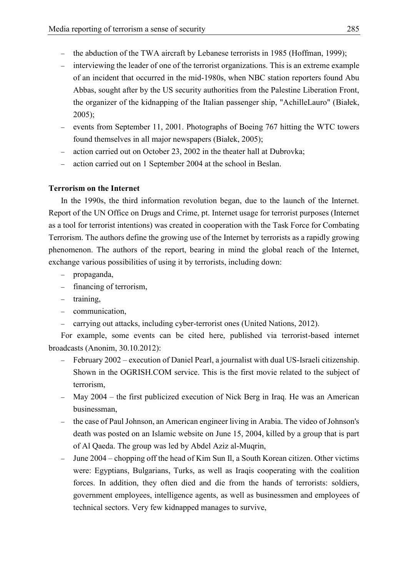- the abduction of the TWA aircraft by Lebanese terrorists in 1985 (Hoffman, 1999);
- interviewing the leader of one of the terrorist organizations. This is an extreme example of an incident that occurred in the mid-1980s, when NBC station reporters found Abu Abbas, sought after by the US security authorities from the Palestine Liberation Front, the organizer of the kidnapping of the Italian passenger ship, "AchilleLauro" (Białek, 2005);
- events from September 11, 2001. Photographs of Boeing 767 hitting the WTC towers found themselves in all major newspapers (Białek, 2005);
- action carried out on October 23, 2002 in the theater hall at Dubrovka;
- action carried out on 1 September 2004 at the school in Beslan.

# **Terrorism on the Internet**

In the 1990s, the third information revolution began, due to the launch of the Internet. Report of the UN Office on Drugs and Crime, pt. Internet usage for terrorist purposes (Internet as a tool for terrorist intentions) was created in cooperation with the Task Force for Combating Terrorism. The authors define the growing use of the Internet by terrorists as a rapidly growing phenomenon. The authors of the report, bearing in mind the global reach of the Internet, exchange various possibilities of using it by terrorists, including down:

- propaganda,
- financing of terrorism,
- $-$  training,
- communication,
- carrying out attacks, including cyber-terrorist ones (United Nations, 2012).

For example, some events can be cited here, published via terrorist-based internet broadcasts (Anonim, 30.10.2012):

- February 2002 execution of Daniel Pearl, a journalist with dual US-Israeli citizenship. Shown in the OGRISH.COM service. This is the first movie related to the subject of terrorism,
- May 2004 the first publicized execution of Nick Berg in Iraq. He was an American businessman,
- the case of Paul Johnson, an American engineer living in Arabia. The video of Johnson's death was posted on an Islamic website on June 15, 2004, killed by a group that is part of Al Qaeda. The group was led by Abdel Aziz al-Muqrin,
- June 2004 chopping off the head of Kim Sun Il, a South Korean citizen. Other victims were: Egyptians, Bulgarians, Turks, as well as Iraqis cooperating with the coalition forces. In addition, they often died and die from the hands of terrorists: soldiers, government employees, intelligence agents, as well as businessmen and employees of technical sectors. Very few kidnapped manages to survive,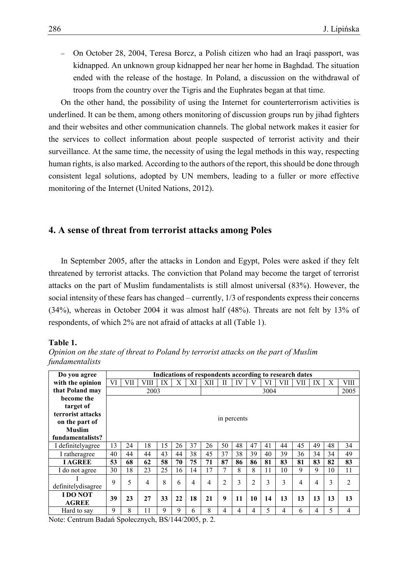On October 28, 2004, Teresa Borcz, a Polish citizen who had an Iraqi passport, was kidnapped. An unknown group kidnapped her near her home in Baghdad. The situation ended with the release of the hostage. In Poland, a discussion on the withdrawal of troops from the country over the Tigris and the Euphrates began at that time.

On the other hand, the possibility of using the Internet for counterterrorism activities is underlined. It can be them, among others monitoring of discussion groups run by jihad fighters and their websites and other communication channels. The global network makes it easier for the services to collect information about people suspected of terrorist activity and their surveillance. At the same time, the necessity of using the legal methods in this way, respecting human rights, is also marked. According to the authors of the report, this should be done through consistent legal solutions, adopted by UN members, leading to a fuller or more effective monitoring of the Internet (United Nations, 2012).

### **4. A sense of threat from terrorist attacks among Poles**

In September 2005, after the attacks in London and Egypt, Poles were asked if they felt threatened by terrorist attacks. The conviction that Poland may become the target of terrorist attacks on the part of Muslim fundamentalists is still almost universal (83%). However, the social intensity of these fears has changed – currently, 1/3 of respondents express their concerns (34%), whereas in October 2004 it was almost half (48%). Threats are not felt by 13% of respondents, of which 2% are not afraid of attacks at all (Table 1).

#### **Table 1.**

| Do you agree       | Indications of respondents according to research dates                                                |             |      |             |    |    |                |                |    |                |      |     |     |    |    |                |
|--------------------|-------------------------------------------------------------------------------------------------------|-------------|------|-------------|----|----|----------------|----------------|----|----------------|------|-----|-----|----|----|----------------|
| with the opinion   | VI                                                                                                    | VII         | VIII | IX          | X  | ΧI | XІІ            | П              | IV | V              | VI   | VII | VII | IX | X  | <b>VIII</b>    |
| that Poland may    |                                                                                                       |             | 2003 |             |    |    |                |                |    |                | 3004 |     |     |    |    | 2005           |
| become the         |                                                                                                       |             |      |             |    |    |                |                |    |                |      |     |     |    |    |                |
| target of          |                                                                                                       |             |      |             |    |    |                |                |    |                |      |     |     |    |    |                |
| terrorist attacks  |                                                                                                       |             |      |             |    |    |                |                |    |                |      |     |     |    |    |                |
| on the part of     |                                                                                                       | in percents |      |             |    |    |                |                |    |                |      |     |     |    |    |                |
| Muslim             |                                                                                                       |             |      |             |    |    |                |                |    |                |      |     |     |    |    |                |
| fundamentalists?   |                                                                                                       |             |      |             |    |    |                |                |    |                |      |     |     |    |    |                |
| I definitelyagree  | 13                                                                                                    | 24          | 18   | 15          | 26 | 37 | 26             | 50             | 48 | 47             | 41   | 44  | 45  | 49 | 48 | 34             |
| I ratheragree      | 40                                                                                                    | 44          | 44   | 43          | 44 | 38 | 45             | 37             | 38 | 39             | 40   | 39  | 36  | 34 | 34 | 49             |
| <b>I AGREE</b>     | 53                                                                                                    | 68          | 62   | 58          | 70 | 75 | 71             | 87             | 86 | 86             | 81   | 83  | 81  | 83 | 82 | 83             |
| I do not agree     | 30                                                                                                    | 18          | 23   | 25          | 16 | 14 | 17             | 7              | 8  | 8              | 11   | 10  | 9   | 9  | 10 | 11             |
|                    | 9                                                                                                     | 5           | 4    | 8           | 6  | 4  | $\overline{4}$ | $\overline{2}$ | 3  | $\overline{c}$ | 3    | 3   | 4   | 4  | 3  | $\overline{2}$ |
| definitelydisagree |                                                                                                       |             |      |             |    |    |                |                |    |                |      |     |     |    |    |                |
| <b>IDONOT</b>      | 39                                                                                                    | 23          | 27   | 33          | 22 | 18 | 21             | 9              | 11 | 10             | 14   | 13  | 13  | 13 | 13 | 13             |
| <b>AGREE</b>       |                                                                                                       |             |      |             |    |    |                |                |    |                |      |     |     |    |    |                |
| Hard to say        | 9                                                                                                     | 8           | 11   | $\mathbf Q$ | 9  | 6  | 8              | 4              | 4  | 4              | 5    | 4   | 6   | 4  | 5  | 4              |
|                    | $N_{i+1}, C_{i+1}, \ldots, D_{i}, 1, \ell, C_{i+1}, \ldots, 1, D_{i} (1, 1, 1/2) \cap \ell$<br>$\sim$ |             |      |             |    |    |                |                |    |                |      |     |     |    |    |                |

*Opinion on the state of threat to Poland by terrorist attacks on the part of Muslim fundamentalists*

Note: Centrum Badań Społecznych, BS/144/2005, p. 2.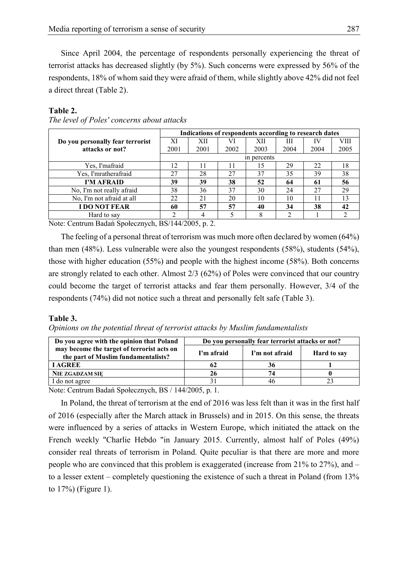Since April 2004, the percentage of respondents personally experiencing the threat of terrorist attacks has decreased slightly (by 5%). Such concerns were expressed by 56% of the respondents, 18% of whom said they were afraid of them, while slightly above 42% did not feel a direct threat (Table 2).

#### **Table 2.**

|                                  | Indications of respondents according to research dates |      |      |      |      |      |      |  |  |  |  |
|----------------------------------|--------------------------------------------------------|------|------|------|------|------|------|--|--|--|--|
| Do you personally fear terrorist | XI                                                     | XН   | VI   | XII  | Ш    | ΙА   | VIII |  |  |  |  |
| attacks or not?                  | 2001                                                   | 2001 | 2002 | 2003 | 2004 | 2004 | 2005 |  |  |  |  |
|                                  | in percents                                            |      |      |      |      |      |      |  |  |  |  |
| Yes, I'mafraid                   | 12                                                     | 11   | 11   | 15   | 29   | 22   | 18   |  |  |  |  |
| Yes, I'mratherafraid             | 27                                                     | 28   | 27   | 37   | 35   | 39   | 38   |  |  |  |  |
| I'M AFRAID                       | 39                                                     | 39   | 38   | 52   | 64   | 61   | 56   |  |  |  |  |
| No, I'm not really afraid        | 38                                                     | 36   | 37   | 30   | 24   | 27   | 29   |  |  |  |  |
| No, I'm not afraid at all        | 22                                                     | 21   | 20   | 10   | 10   |      | 13   |  |  |  |  |
| <b>I DO NOT FEAR</b>             | 60                                                     | 57   | 57   | 40   | 34   | 38   | 42   |  |  |  |  |
| Hard to say                      | ◠                                                      |      |      | 8    |      |      |      |  |  |  |  |

*The level of Poles' concerns about attacks*

Note: Centrum Badań Społecznych, BS/144/2005, p. 2.

The feeling of a personal threat of terrorism was much more often declared by women (64%) than men (48%). Less vulnerable were also the youngest respondents (58%), students (54%), those with higher education (55%) and people with the highest income (58%). Both concerns are strongly related to each other. Almost 2/3 (62%) of Poles were convinced that our country could become the target of terrorist attacks and fear them personally. However, 3/4 of the respondents (74%) did not notice such a threat and personally felt safe (Table 3).

### **Table 3.**

*Opinions on the potential threat of terrorist attacks by Muslim fundamentalists*

| Do you agree with the opinion that Poland                                         | Do you personally fear terrorist attacks or not? |                |                    |  |  |  |  |  |
|-----------------------------------------------------------------------------------|--------------------------------------------------|----------------|--------------------|--|--|--|--|--|
| may become the target of terrorist acts on<br>the part of Muslim fundamentalists? | I'm afraid                                       | I'm not afraid | <b>Hard to say</b> |  |  |  |  |  |
| <b>LAGREE</b>                                                                     | 62                                               | 36             |                    |  |  |  |  |  |
| <b>NIE ZGADZAM SIE</b>                                                            | 26                                               | 74             |                    |  |  |  |  |  |
| I do not agree                                                                    |                                                  |                |                    |  |  |  |  |  |

Note: Centrum Badań Społecznych, BS / 144/2005, p. 1.

In Poland, the threat of terrorism at the end of 2016 was less felt than it was in the first half of 2016 (especially after the March attack in Brussels) and in 2015. On this sense, the threats were influenced by a series of attacks in Western Europe, which initiated the attack on the French weekly "Charlie Hebdo "in January 2015. Currently, almost half of Poles (49%) consider real threats of terrorism in Poland. Quite peculiar is that there are more and more people who are convinced that this problem is exaggerated (increase from  $21\%$  to  $27\%$ ), and  $$ to a lesser extent – completely questioning the existence of such a threat in Poland (from 13% to 17%) (Figure 1).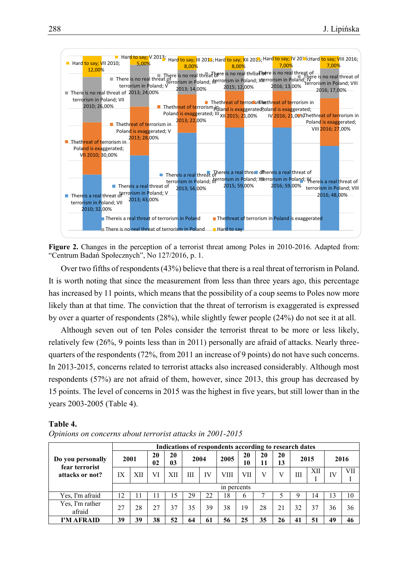

**Figure 2.** Changes in the perception of a terrorist threat among Poles in 2010-2016. Adapted from: "Centrum Badań Społecznych", No 127/2016, p. 1.

Over two fifths of respondents (43%) believe that there is a real threat of terrorism in Poland. It is worth noting that since the measurement from less than three years ago, this percentage has increased by 11 points, which means that the possibility of a coup seems to Poles now more likely than at that time. The conviction that the threat of terrorism is exaggerated is expressed by over a quarter of respondents (28%), while slightly fewer people (24%) do not see it at all.

Although seven out of ten Poles consider the terrorist threat to be more or less likely, relatively few (26%, 9 points less than in 2011) personally are afraid of attacks. Nearly threequarters of the respondents (72%, from 2011 an increase of 9 points) do not have such concerns. In 2013-2015, concerns related to terrorist attacks also increased considerably. Although most respondents (57%) are not afraid of them, however, since 2013, this group has decreased by 15 points. The level of concerns in 2015 was the highest in five years, but still lower than in the years 2003-2005 (Table 4).

#### **Table 4.**

|                                                        | Indications of respondents according to research dates |             |          |          |      |    |      |     |      |          |          |          |    |            |  |      |
|--------------------------------------------------------|--------------------------------------------------------|-------------|----------|----------|------|----|------|-----|------|----------|----------|----------|----|------------|--|------|
| Do you personally<br>fear terrorist<br>attacks or not? | 2001                                                   |             | 20<br>02 | 20<br>03 | 2004 |    |      |     | 2005 | 20<br>10 | 20<br>11 | 20<br>13 |    | 2015       |  | 2016 |
|                                                        | IX                                                     | XІI         | VI       | XН       | Ш    | IV | VIII | VII |      |          | Ш        | XII      | IV | <b>VII</b> |  |      |
|                                                        |                                                        | in percents |          |          |      |    |      |     |      |          |          |          |    |            |  |      |
| Yes, I'm afraid                                        | 12                                                     |             | -1       | 15       | 29   | 22 | 18   | b   |      |          | O        | 14       | 13 | 10         |  |      |
| Yes, I'm rather<br>afraid                              | 27                                                     | 28          | 27       | 37       | 35   | 39 | 38   | 19  | 28   | 21       | 32       | 37       | 36 | 36         |  |      |
| I'M AFRAID                                             | 39                                                     | 39          | 38       | 52       | 64   | 61 | 56   | 25  | 35   | 26       | 41       | 51       | 49 | 46         |  |      |

*Opinions on concerns about terrorist attacks in 2001-2015*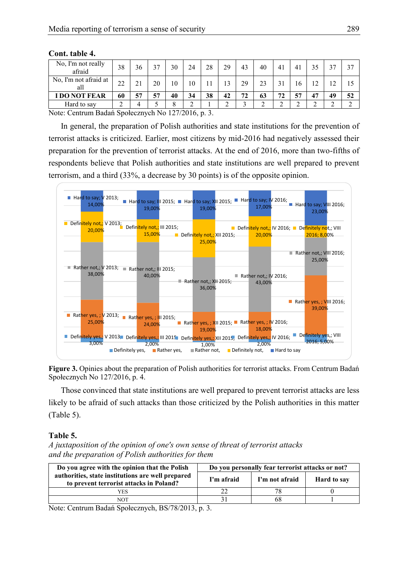| No, I'm not really<br>afraid | 38 | 36         | 37 | 30 | 24     | 28 | 29 | 43 | 40 | 41     | 41     | 35     | $\gamma$   | 37 |
|------------------------------|----|------------|----|----|--------|----|----|----|----|--------|--------|--------|------------|----|
| No, I'm not afraid at<br>all | 22 | າ 1<br>∠ । | 20 | 10 | 10     |    | 13 | 29 | 23 | 31     | 16     | 12     | າາ<br>- 12 |    |
| I DO NOT FEAR                | 60 | 57         | 57 | 40 | 34     | 38 | 42 | 72 | 63 | 72     | 57     | 47     | 49         | 52 |
| Hard to say                  |    | 4          |    | 8  | ◠<br>↵ |    |    |    |    | $\sim$ | $\sim$ | ⌒<br>∸ | ⌒          |    |

**Cont. table 4.**

Note: Centrum Badań Społecznych No 127/2016, p. 3.

In general, the preparation of Polish authorities and state institutions for the prevention of terrorist attacks is criticized. Earlier, most citizens by mid-2016 had negatively assessed their preparation for the prevention of terrorist attacks. At the end of 2016, more than two-fifths of respondents believe that Polish authorities and state institutions are well prepared to prevent terrorism, and a third (33%, a decrease by 30 points) is of the opposite opinion.



**Figure 3.** Opinies about the preparation of Polish authorities for terrorist attacks. From Centrum Badań Społecznych No 127/2016, p. 4.

Those convinced that state institutions are well prepared to prevent terrorist attacks are less likely to be afraid of such attacks than those criticized by the Polish authorities in this matter (Table 5).

### **Table 5.**

*A juxtaposition of the opinion of one's own sense of threat of terrorist attacks and the preparation of Polish authorities for them*

| Do you agree with the opinion that the Polish                                                | Do you personally fear terrorist attacks or not? |                |                    |  |  |  |  |  |
|----------------------------------------------------------------------------------------------|--------------------------------------------------|----------------|--------------------|--|--|--|--|--|
| authorities, state institutions are well prepared<br>to prevent terrorist attacks in Poland? | I'm afraid                                       | I'm not afraid | <b>Hard to say</b> |  |  |  |  |  |
| YES                                                                                          |                                                  | 78             |                    |  |  |  |  |  |
| NOT                                                                                          |                                                  |                |                    |  |  |  |  |  |

Note: Centrum Badań Społecznych, BS/78/2013, p. 3.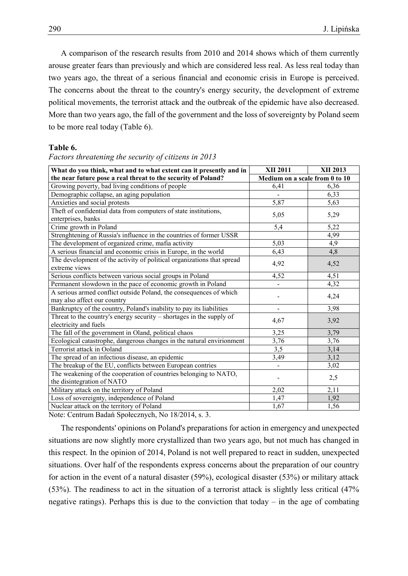A comparison of the research results from 2010 and 2014 shows which of them currently arouse greater fears than previously and which are considered less real. As less real today than two years ago, the threat of a serious financial and economic crisis in Europe is perceived. The concerns about the threat to the country's energy security, the development of extreme political movements, the terrorist attack and the outbreak of the epidemic have also decreased. More than two years ago, the fall of the government and the loss of sovereignty by Poland seem to be more real today (Table 6).

#### **Table 6.**

#### *Factors threatening the security of citizens in 2013*

| What do you think, what and to what extent can it presently and in                            | <b>XII 2011</b>                | XII 2013 |
|-----------------------------------------------------------------------------------------------|--------------------------------|----------|
| the near future pose a real threat to the security of Poland?                                 | Medium on a scale from 0 to 10 |          |
| Growing poverty, bad living conditions of people                                              | 6,41                           | 6,36     |
| Demographic collapse, an aging population                                                     |                                | 6,33     |
| Anxieties and social protests                                                                 | 5,87                           | 5,63     |
| Theft of confidential data from computers of state institutions,                              | 5,05                           |          |
| enterprises, banks                                                                            |                                | 5,29     |
| Crime growth in Poland                                                                        | 5,4                            | 5,22     |
| Strenghtening of Russia's influence in the countries of former USSR                           |                                | 4,99     |
| The development of organized crime, mafia activity                                            | 5,03                           | 4,9      |
| A serious financial and economic crisis in Europe, in the world                               | 6,43                           | 4,8      |
| The development of the activity of political organizations that spread<br>extreme views       | 4,92                           | 4,52     |
| Serious conflicts between various social groups in Poland                                     | 4,52                           | 4,51     |
| Permanent slowdown in the pace of economic growth in Poland                                   |                                | 4,32     |
| A serious armed conflict outside Poland, the consequences of which                            |                                |          |
| may also affect our country                                                                   |                                | 4,24     |
| Bankruptcy of the country, Poland's inability to pay its liabilities                          |                                | 3,98     |
| Threat to the country's energy security – shortages in the supply of<br>electricity and fuels | 4,67                           | 3,92     |
| The fall of the government in Oland, political chaos                                          | 3,25                           | 3,79     |
| Ecological catastrophe, dangerous changes in the natural envirionment                         | 3,76                           | 3,76     |
| Terrorist attack in Ooland                                                                    | $\overline{3,5}$               | 3,14     |
| The spread of an infectious disease, an epidemic                                              | 3,49                           | 3,12     |
| The breakup of the EU, conflicts between European contries                                    |                                | 3,02     |
| The weakening of the cooperation of countries belonging to NATO,                              |                                | 2,5      |
| the disintegration of NATO                                                                    |                                |          |
| Military attack on the territory of Poland                                                    | 2,02                           | 2,11     |
| Loss of sovereignty, independence of Poland                                                   | 1,47                           | 1,92     |
| Nuclear attack on the territory of Poland                                                     | 1,67                           | 1,56     |

Note: Centrum Badań Społecznych, No 18/2014, s. 3.

The respondents' opinions on Poland's preparations for action in emergency and unexpected situations are now slightly more crystallized than two years ago, but not much has changed in this respect. In the opinion of 2014, Poland is not well prepared to react in sudden, unexpected situations. Over half of the respondents express concerns about the preparation of our country for action in the event of a natural disaster (59%), ecological disaster (53%) or military attack (53%). The readiness to act in the situation of a terrorist attack is slightly less critical (47% negative ratings). Perhaps this is due to the conviction that today – in the age of combating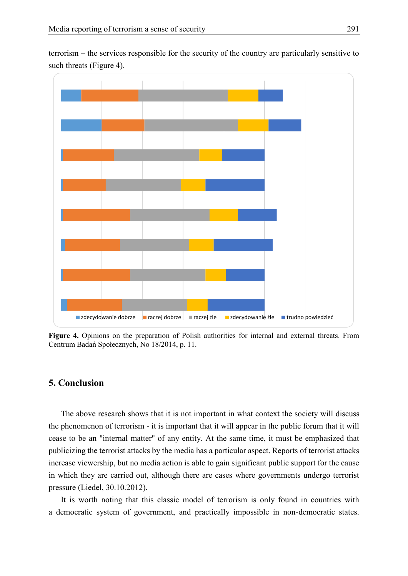terrorism – the services responsible for the security of the country are particularly sensitive to such threats (Figure 4).



**Figure 4.** Opinions on the preparation of Polish authorities for internal and external threats. From Centrum Badań Społecznych, No 18/2014, p. 11.

## **5. Conclusion**

The above research shows that it is not important in what context the society will discuss the phenomenon of terrorism - it is important that it will appear in the public forum that it will cease to be an "internal matter" of any entity. At the same time, it must be emphasized that publicizing the terrorist attacks by the media has a particular aspect. Reports of terrorist attacks increase viewership, but no media action is able to gain significant public support for the cause in which they are carried out, although there are cases where governments undergo terrorist pressure (Liedel, 30.10.2012).

It is worth noting that this classic model of terrorism is only found in countries with a democratic system of government, and practically impossible in non-democratic states.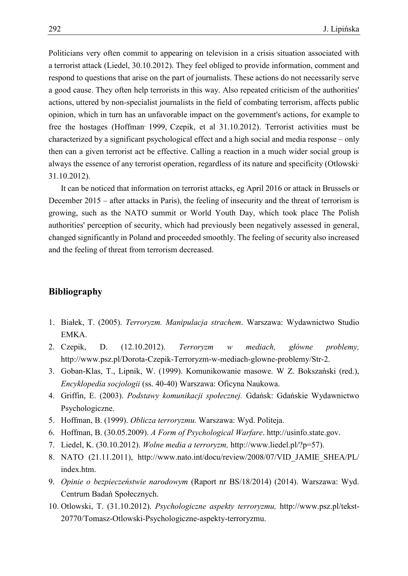Politicians very often commit to appearing on television in a crisis situation associated with a terrorist attack (Liedel, 30.10.2012). They feel obliged to provide information, comment and respond to questions that arise on the part of journalists. These actions do not necessarily serve a good cause. They often help terrorists in this way. Also repeated criticism of the authorities' actions, uttered by non-specialist journalists in the field of combating terrorism, affects public opinion, which in turn has an unfavorable impact on the government's actions, for example to free the hostages (Hoffman<sup>,</sup> 1999, Czepik, et al 31.10.2012). Terrorist activities must be characterized by a significant psychological effect and a high social and media response – only then can a given terrorist act be effective. Calling a reaction in a much wider social group is always the essence of any terrorist operation, regardless of its nature and specificity (Otlowski, 31.10.2012).

It can be noticed that information on terrorist attacks, eg April 2016 or attack in Brussels or December 2015 – after attacks in Paris), the feeling of insecurity and the threat of terrorism is growing, such as the NATO summit or World Youth Day, which took place The Polish authorities' perception of security, which had previously been negatively assessed in general, changed significantly in Poland and proceeded smoothly. The feeling of security also increased and the feeling of threat from terrorism decreased.

## **Bibliography**

- 1. Białek, T. (2005). *Terroryzm. Manipulacja strachem*. Warszawa: Wydawnictwo Studio EMKA.
- 2. Czepik, D. (12.10.2012). *Terroryzm w mediach, główne problemy,* http://www.psz.pl/Dorota-Czepik-Terroryzm-w-mediach-glowne-problemy/Str-2.
- 3. Goban-Klas, T., Lipnik, W. (1999). Komunikowanie masowe. W Z. Bokszański (red.), *Encyklopedia socjologii* (ss. 40-40) Warszawa: Oficyna Naukowa.
- 4. Griffin, E. (2003). *Podstawy komunikacji społecznej.* Gdańsk: Gdańskie Wydawnictwo Psychologiczne.
- 5. Hoffman, B. (1999). *Oblicza terroryzmu.* Warszawa: Wyd. Politeja.
- 6. Hoffman, B. (30.05.2009). *A Form of Psychological Warfare*. http://usinfo.state.gov.
- 7. Liedel, K. (30.10.2012). *Wolne media a terroryzm,* http://www.liedel.pl/?p=57).
- 8. NATO (21.11.2011), http://www.nato.int/docu/review/2008/07/VID\_JAMIE\_SHEA/PL/ index.htm.
- 9. *Opinie o bezpieczeństwie narodowym* (Raport nr BS/18/2014) (2014). Warszawa: Wyd. Centrum Badań Społecznych.
- 10. Otlowski, T. (31.10.2012). *Psychologiczne aspekty terroryzmu,* http://www.psz.pl/tekst-20770/Tomasz-Otlowski-Psychologiczne-aspekty-terroryzmu.